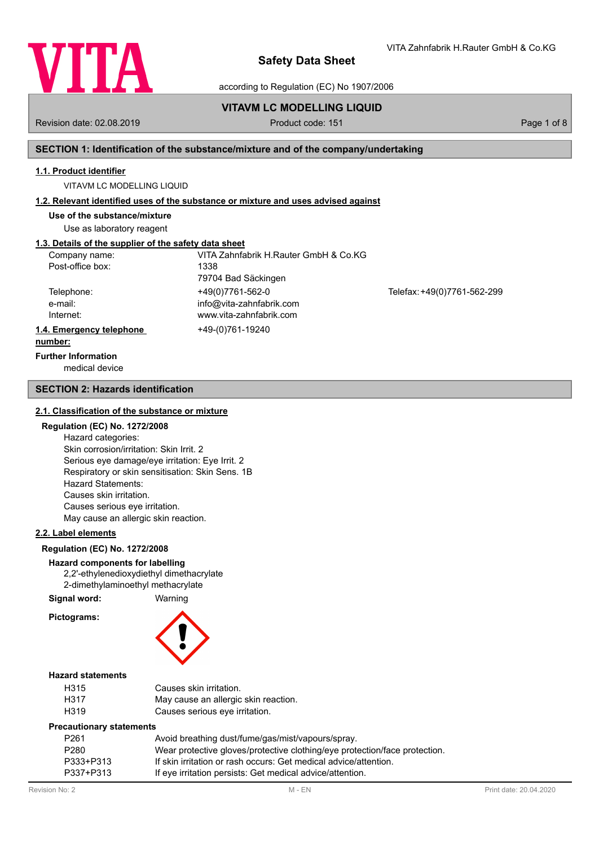

according to Regulation (EC) No 1907/2006

# **VITAVM LC MODELLING LIQUID**

Revision date: 02.08.2019 **Product code: 151** Product code: 151 **Page 1 of 8** Page 1 of 8

VITA Zahnfabrik H.Rauter GmbH & Co.KG

#### **SECTION 1: Identification of the substance/mixture and of the company/undertaking**

#### **1.1. Product identifier**

VITAVM LC MODELLING LIQUID

#### **1.2. Relevant identified uses of the substance or mixture and uses advised against**

**Use of the substance/mixture**

Use as laboratory reagent

#### **1.3. Details of the supplier of the safety data sheet**

| Company name:            | VITA Zahnfabrik H.Rauter GmbH & Co.KG |                             |
|--------------------------|---------------------------------------|-----------------------------|
| Post-office box:         | 1338                                  |                             |
|                          | 79704 Bad Säckingen                   |                             |
| Telephone:               | +49(0)7761-562-0                      | Telefax: +49(0)7761-562-299 |
| e-mail:                  | info@vita-zahnfabrik.com              |                             |
| Internet:                | www.vita-zahnfabrik.com               |                             |
| 1.4. Emergency telephone | +49-(0)761-19240                      |                             |
| number:                  |                                       |                             |

#### **Further Information**

medical device

#### **SECTION 2: Hazards identification**

#### **2.1. Classification of the substance or mixture**

#### **Regulation (EC) No. 1272/2008**

Hazard categories: Skin corrosion/irritation: Skin Irrit. 2 Serious eye damage/eye irritation: Eye Irrit. 2 Respiratory or skin sensitisation: Skin Sens. 1B Hazard Statements: Causes skin irritation. Causes serious eye irritation. May cause an allergic skin reaction.

#### **2.2. Label elements**

#### **Regulation (EC) No. 1272/2008**

## **Hazard components for labelling**

2,2'-ethylenedioxydiethyl dimethacrylate 2-dimethylaminoethyl methacrylate

**Signal word:** Warning

**Pictograms:**



#### **Hazard statements**

| H315 | Causes skin irritation.              |
|------|--------------------------------------|
| H317 | May cause an allergic skin reaction. |
| H319 | Causes serious eye irritation.       |

#### **Precautionary statements**

| P <sub>261</sub> | Avoid breathing dust/fume/gas/mist/vapours/spray.                          |
|------------------|----------------------------------------------------------------------------|
| P280             | Wear protective gloves/protective clothing/eye protection/face protection. |
| P333+P313        | If skin irritation or rash occurs: Get medical advice/attention.           |
| P337+P313        | If eye irritation persists: Get medical advice/attention.                  |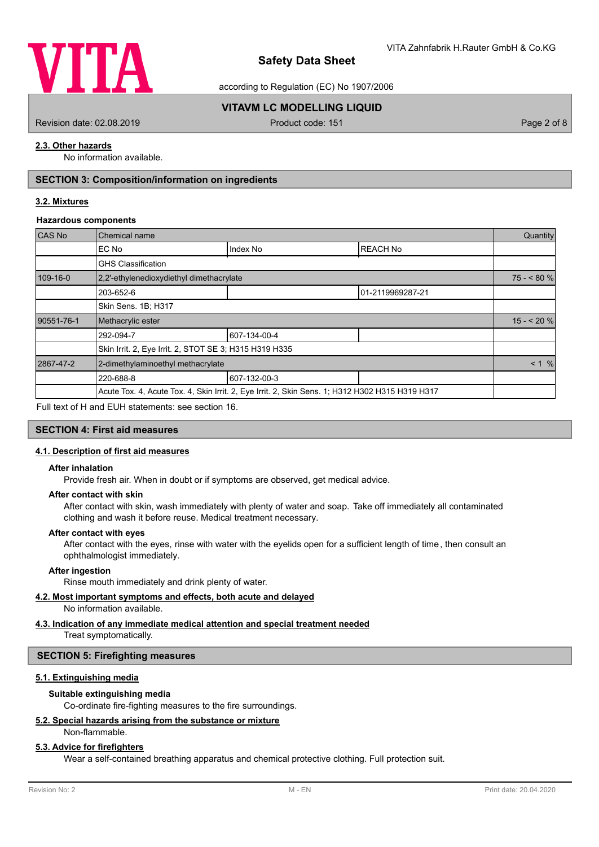

according to Regulation (EC) No 1907/2006

## **VITAVM LC MODELLING LIQUID**

Revision date: 02.08.2019 **Product code: 151** Product code: 151 **Page 2 of 8** Page 2 of 8

#### **2.3. Other hazards**

No information available.

# **SECTION 3: Composition/information on ingredients**

#### **3.2. Mixtures**

#### **Hazardous components**

| CAS No     | Chemical name                                                                                   |              |                  |  |  |
|------------|-------------------------------------------------------------------------------------------------|--------------|------------------|--|--|
|            | EC No                                                                                           | Index No     | <b>REACH No</b>  |  |  |
|            | <b>GHS Classification</b>                                                                       |              |                  |  |  |
| 109-16-0   | 2,2'-ethylenedioxydiethyl dimethacrylate                                                        |              |                  |  |  |
|            | 203-652-6                                                                                       |              | 01-2119969287-21 |  |  |
|            | Skin Sens. 1B; H317                                                                             |              |                  |  |  |
| 90551-76-1 | Methacrylic ester                                                                               |              |                  |  |  |
|            | 292-094-7                                                                                       | 607-134-00-4 |                  |  |  |
|            | Skin Irrit. 2, Eye Irrit. 2, STOT SE 3; H315 H319 H335                                          |              |                  |  |  |
| 2867-47-2  | 2-dimethylaminoethyl methacrylate                                                               |              |                  |  |  |
|            | 220-688-8                                                                                       | 607-132-00-3 |                  |  |  |
|            | Acute Tox. 4, Acute Tox. 4, Skin Irrit. 2, Eye Irrit. 2, Skin Sens. 1; H312 H302 H315 H319 H317 |              |                  |  |  |

Full text of H and EUH statements: see section 16.

#### **SECTION 4: First aid measures**

#### **4.1. Description of first aid measures**

#### **After inhalation**

Provide fresh air. When in doubt or if symptoms are observed, get medical advice.

#### **After contact with skin**

After contact with skin, wash immediately with plenty of water and soap. Take off immediately all contaminated clothing and wash it before reuse. Medical treatment necessary.

#### **After contact with eyes**

After contact with the eyes, rinse with water with the eyelids open for a sufficient length of time, then consult an ophthalmologist immediately.

#### **After ingestion**

Rinse mouth immediately and drink plenty of water.

#### **4.2. Most important symptoms and effects, both acute and delayed**

No information available.

# **4.3. Indication of any immediate medical attention and special treatment needed**

Treat symptomatically.

#### **SECTION 5: Firefighting measures**

#### **5.1. Extinguishing media**

#### **Suitable extinguishing media**

Co-ordinate fire-fighting measures to the fire surroundings.

#### **5.2. Special hazards arising from the substance or mixture**

Non-flammable.

#### **5.3. Advice for firefighters**

Wear a self-contained breathing apparatus and chemical protective clothing. Full protection suit.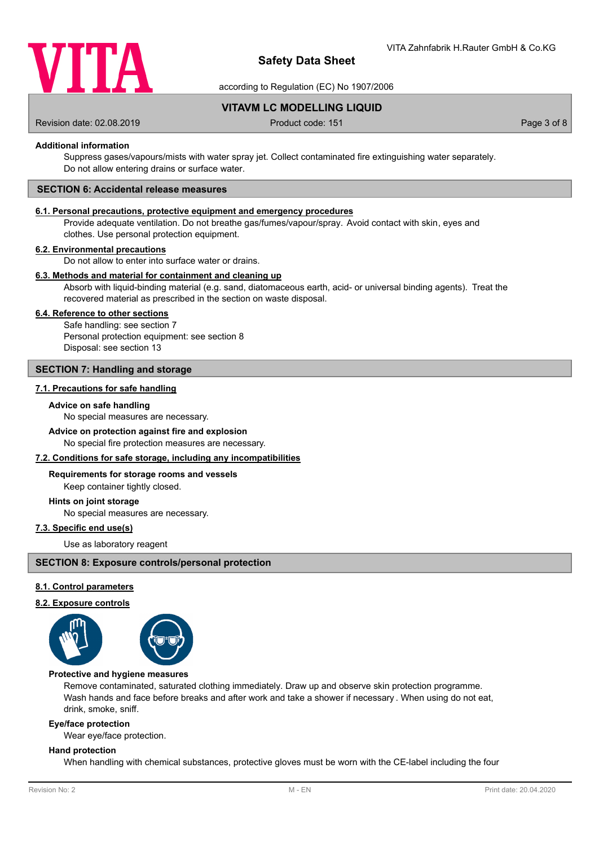

according to Regulation (EC) No 1907/2006

**VITAVM LC MODELLING LIQUID**

Revision date: 02.08.2019 **Product code: 151** Product code: 151 **Page 3 of 8** Page 3 of 8

#### **Additional information**

Suppress gases/vapours/mists with water spray jet. Collect contaminated fire extinguishing water separately. Do not allow entering drains or surface water.

#### **SECTION 6: Accidental release measures**

#### **6.1. Personal precautions, protective equipment and emergency procedures**

Provide adequate ventilation. Do not breathe gas/fumes/vapour/spray. Avoid contact with skin, eyes and clothes. Use personal protection equipment.

#### **6.2. Environmental precautions**

Do not allow to enter into surface water or drains.

#### **6.3. Methods and material for containment and cleaning up**

Absorb with liquid-binding material (e.g. sand, diatomaceous earth, acid- or universal binding agents). Treat the recovered material as prescribed in the section on waste disposal.

#### **6.4. Reference to other sections**

Safe handling: see section 7 Personal protection equipment: see section 8 Disposal: see section 13

#### **SECTION 7: Handling and storage**

#### **7.1. Precautions for safe handling**

#### **Advice on safe handling**

No special measures are necessary.

#### **Advice on protection against fire and explosion**

No special fire protection measures are necessary.

#### **7.2. Conditions for safe storage, including any incompatibilities**

#### **Requirements for storage rooms and vessels**

Keep container tightly closed.

#### **Hints on joint storage**

No special measures are necessary.

## **7.3. Specific end use(s)**

Use as laboratory reagent

#### **SECTION 8: Exposure controls/personal protection**

#### **8.1. Control parameters**

#### **8.2. Exposure controls**



#### **Protective and hygiene measures**

Remove contaminated, saturated clothing immediately. Draw up and observe skin protection programme. Wash hands and face before breaks and after work and take a shower if necessary . When using do not eat, drink, smoke, sniff.

#### **Eye/face protection**

Wear eye/face protection.

#### **Hand protection**

When handling with chemical substances, protective gloves must be worn with the CE-label including the four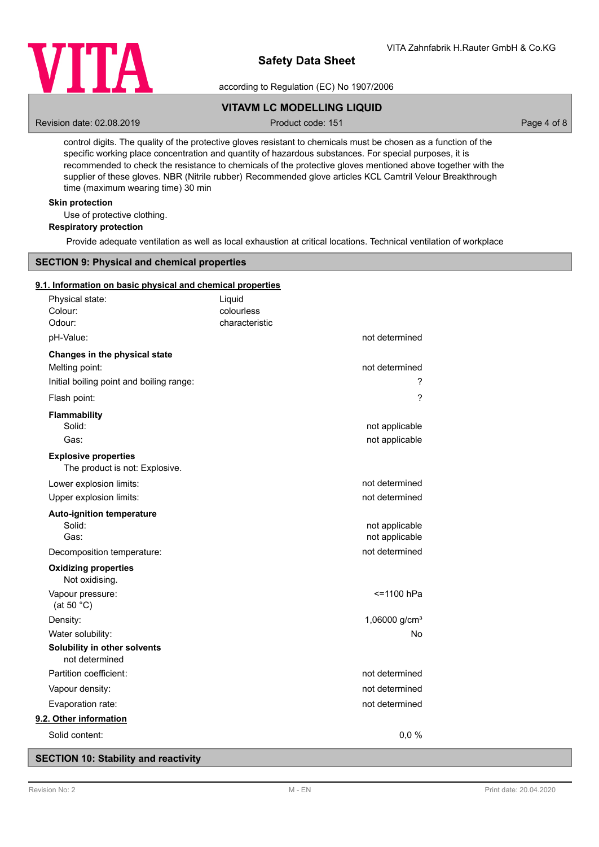

according to Regulation (EC) No 1907/2006

### **VITAVM LC MODELLING LIQUID**

Revision date: 02.08.2019 **Product code: 151** Product code: 151 **Page 4 of 8** Page 4 of 8

control digits. The quality of the protective gloves resistant to chemicals must be chosen as a function of the specific working place concentration and quantity of hazardous substances. For special purposes, it is recommended to check the resistance to chemicals of the protective gloves mentioned above together with the supplier of these gloves. NBR (Nitrile rubber) Recommended glove articles KCL Camtril Velour Breakthrough time (maximum wearing time) 30 min

#### **Skin protection**

Use of protective clothing.

#### **Respiratory protection**

Provide adequate ventilation as well as local exhaustion at critical locations. Technical ventilation of workplace

#### **SECTION 9: Physical and chemical properties**

#### **9.1. Information on basic physical and chemical properties**

| Physical state:<br>Colour:<br>Odour:                                                        | Liquid<br>colourless<br>characteristic |                                  |
|---------------------------------------------------------------------------------------------|----------------------------------------|----------------------------------|
| pH-Value:                                                                                   |                                        | not determined                   |
| Changes in the physical state<br>Melting point:<br>Initial boiling point and boiling range: |                                        | not determined<br>?              |
| Flash point:                                                                                |                                        | ?                                |
| Flammability<br>Solid:<br>Gas:                                                              |                                        | not applicable<br>not applicable |
| <b>Explosive properties</b><br>The product is not: Explosive.                               |                                        |                                  |
| Lower explosion limits:<br>Upper explosion limits:                                          |                                        | not determined<br>not determined |
| <b>Auto-ignition temperature</b><br>Solid:<br>Gas:                                          |                                        | not applicable<br>not applicable |
| Decomposition temperature:                                                                  |                                        | not determined                   |
| <b>Oxidizing properties</b><br>Not oxidising.                                               |                                        |                                  |
| Vapour pressure:<br>(at 50 $°C$ )                                                           |                                        | <=1100 hPa                       |
| Density:                                                                                    |                                        | 1,06000 g/cm <sup>3</sup>        |
| Water solubility:                                                                           |                                        | No                               |
| Solubility in other solvents<br>not determined                                              |                                        |                                  |
| Partition coefficient:                                                                      |                                        | not determined                   |
| Vapour density:                                                                             |                                        | not determined                   |
| Evaporation rate:                                                                           |                                        | not determined                   |
| 9.2. Other information                                                                      |                                        |                                  |
| Solid content:                                                                              |                                        | 0,0%                             |
|                                                                                             |                                        |                                  |

#### **SECTION 10: Stability and reactivity**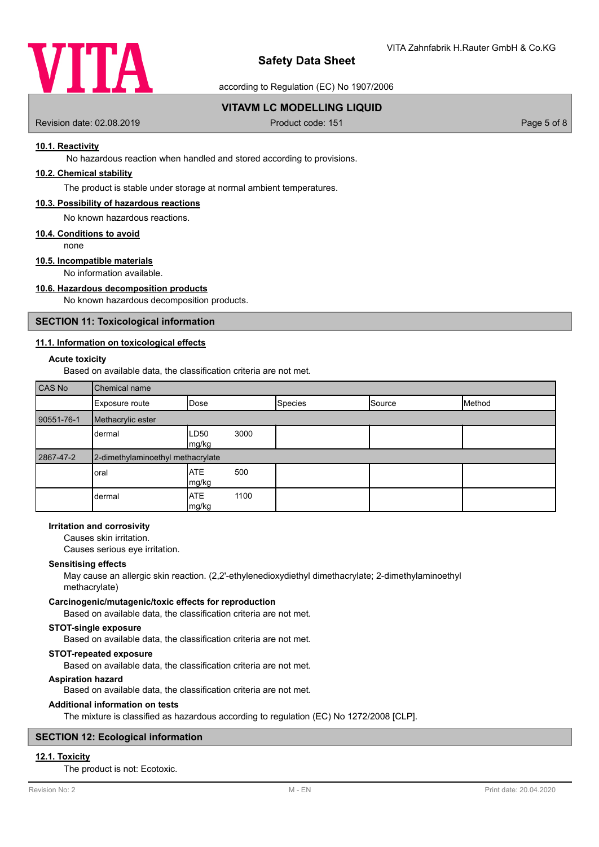

according to Regulation (EC) No 1907/2006

#### **VITAVM LC MODELLING LIQUID**

Revision date: 02.08.2019 **Product code: 151** Product code: 151 **Page 5 of 8** Page 5 of 8

#### **10.1. Reactivity**

No hazardous reaction when handled and stored according to provisions.

#### **10.2. Chemical stability**

The product is stable under storage at normal ambient temperatures.

#### **10.3. Possibility of hazardous reactions**

No known hazardous reactions.

#### **10.4. Conditions to avoid**

none

# **10.5. Incompatible materials**

No information available.

#### **10.6. Hazardous decomposition products**

No known hazardous decomposition products.

#### **SECTION 11: Toxicological information**

#### **11.1. Information on toxicological effects**

#### **Acute toxicity**

Based on available data, the classification criteria are not met.

| CAS No     | Chemical name                     |                     |      |                |        |        |
|------------|-----------------------------------|---------------------|------|----------------|--------|--------|
|            | Exposure route                    | Dose                |      | <b>Species</b> | Source | Method |
| 90551-76-1 | Methacrylic ester                 |                     |      |                |        |        |
|            | dermal                            | LD50<br>mg/kg       | 3000 |                |        |        |
| 2867-47-2  | 2-dimethylaminoethyl methacrylate |                     |      |                |        |        |
|            | oral                              | <b>ATE</b><br>mg/kg | 500  |                |        |        |
|            | dermal                            | <b>ATE</b><br>mg/kg | 1100 |                |        |        |

#### **Irritation and corrosivity**

Causes skin irritation.

Causes serious eye irritation.

#### **Sensitising effects**

May cause an allergic skin reaction. (2,2'-ethylenedioxydiethyl dimethacrylate; 2-dimethylaminoethyl methacrylate)

#### **Carcinogenic/mutagenic/toxic effects for reproduction**

Based on available data, the classification criteria are not met.

#### **STOT-single exposure**

Based on available data, the classification criteria are not met.

#### **STOT-repeated exposure**

Based on available data, the classification criteria are not met.

#### **Aspiration hazard**

Based on available data, the classification criteria are not met.

#### **Additional information on tests**

The mixture is classified as hazardous according to regulation (EC) No 1272/2008 [CLP].

# **SECTION 12: Ecological information**

#### **12.1. Toxicity**

The product is not: Ecotoxic.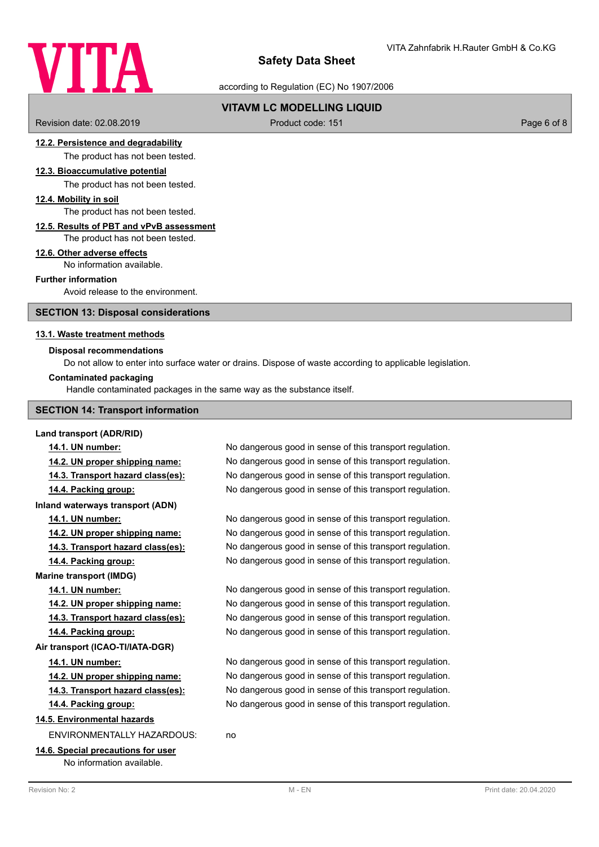# VITA

# **Safety Data Sheet**

according to Regulation (EC) No 1907/2006

# **VITAVM LC MODELLING LIQUID**

Revision date: 02.08.2019 **Product code: 151** Product code: 151 **Page 6 of 8** Page 6 of 8

#### **12.2. Persistence and degradability**

The product has not been tested.

# **12.3. Bioaccumulative potential**

The product has not been tested.

#### **12.4. Mobility in soil**

The product has not been tested.

#### **12.5. Results of PBT and vPvB assessment**

The product has not been tested.

#### **12.6. Other adverse effects**

No information available.

#### **Further information**

Avoid release to the environment.

#### **SECTION 13: Disposal considerations**

#### **13.1. Waste treatment methods**

#### **Disposal recommendations**

Do not allow to enter into surface water or drains. Dispose of waste according to applicable legislation.

#### **Contaminated packaging**

Handle contaminated packages in the same way as the substance itself.

#### **SECTION 14: Transport information**

#### **Land transport (ADR/RID)**

**14.1. UN number:** No dangerous good in sense of this transport regulation.

**Inland waterways transport (ADN)**

**Marine transport (IMDG)**

#### **Air transport (ICAO-TI/IATA-DGR)**

#### **14.5. Environmental hazards**

ENVIRONMENTALLY HAZARDOUS: no

**14.6. Special precautions for user** No information available.

# **14.2. UN proper shipping name:** No dangerous good in sense of this transport regulation. **14.3. Transport hazard class(es):** No dangerous good in sense of this transport regulation. **14.4. Packing group:** No dangerous good in sense of this transport regulation.

**14.1. UN number:** No dangerous good in sense of this transport regulation. **14.2. UN proper shipping name:** No dangerous good in sense of this transport regulation. **14.3. Transport hazard class(es):** No dangerous good in sense of this transport regulation. **14.4. Packing group:** No dangerous good in sense of this transport regulation.

**14.1. UN number:** No dangerous good in sense of this transport regulation. **14.2. UN proper shipping name:** No dangerous good in sense of this transport regulation. **14.3. Transport hazard class(es):** No dangerous good in sense of this transport regulation. **14.4. Packing group:** No dangerous good in sense of this transport regulation.

**14.1. UN number:** No dangerous good in sense of this transport regulation. **14.2. UN proper shipping name:** No dangerous good in sense of this transport regulation. **14.3. Transport hazard class(es):** No dangerous good in sense of this transport regulation. **14.4. Packing group:** No dangerous good in sense of this transport regulation.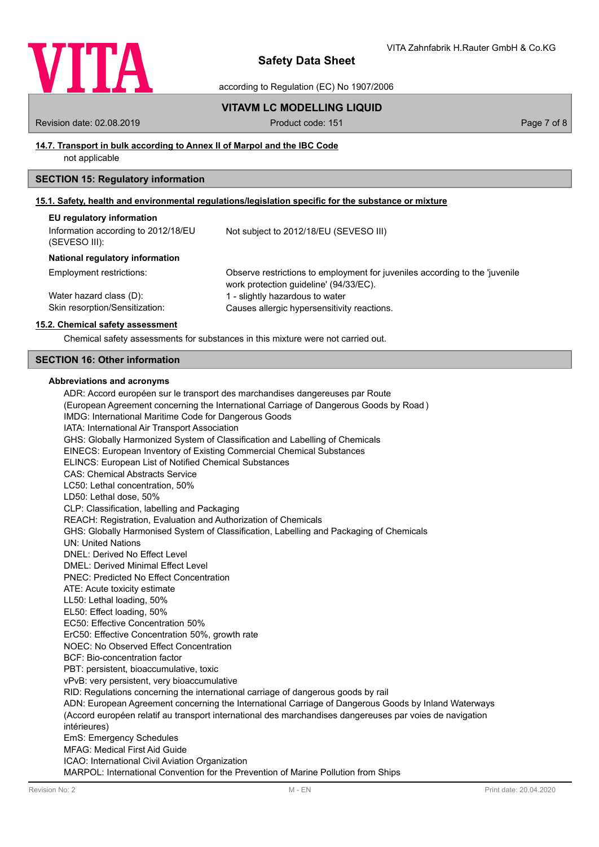

according to Regulation (EC) No 1907/2006

#### **VITAVM LC MODELLING LIQUID**

Revision date: 02.08.2019 **Product code: 151** Product code: 151 **Page 7 of 8** Page 7 of 8

#### **14.7. Transport in bulk according to Annex II of Marpol and the IBC Code**

not applicable

#### **SECTION 15: Regulatory information**

#### **15.1. Safety, health and environmental regulations/legislation specific for the substance or mixture**

| EU regulatory information                            |                                                                                                                       |
|------------------------------------------------------|-----------------------------------------------------------------------------------------------------------------------|
| Information according to 2012/18/EU<br>(SEVESO III): | Not subject to 2012/18/EU (SEVESO III)                                                                                |
| National regulatory information                      |                                                                                                                       |
| <b>Employment restrictions:</b>                      | Observe restrictions to employment for juveniles according to the 'juvenile<br>work protection quideline' (94/33/EC). |
| Water hazard class (D):                              | 1 - slightly hazardous to water                                                                                       |
| Skin resorption/Sensitization:                       | Causes allergic hypersensitivity reactions.                                                                           |

#### **15.2. Chemical safety assessment**

Chemical safety assessments for substances in this mixture were not carried out.

#### **SECTION 16: Other information**

#### **Abbreviations and acronyms**

ADR: Accord européen sur le transport des marchandises dangereuses par Route (European Agreement concerning the International Carriage of Dangerous Goods by Road ) IMDG: International Maritime Code for Dangerous Goods IATA: International Air Transport Association GHS: Globally Harmonized System of Classification and Labelling of Chemicals EINECS: European Inventory of Existing Commercial Chemical Substances ELINCS: European List of Notified Chemical Substances CAS: Chemical Abstracts Service LC50: Lethal concentration, 50% LD50: Lethal dose, 50% CLP: Classification, labelling and Packaging REACH: Registration, Evaluation and Authorization of Chemicals GHS: Globally Harmonised System of Classification, Labelling and Packaging of Chemicals UN: United Nations DNEL: Derived No Effect Level DMEL: Derived Minimal Effect Level PNEC: Predicted No Effect Concentration ATE: Acute toxicity estimate LL50: Lethal loading, 50% EL50: Effect loading, 50% EC50: Effective Concentration 50% ErC50: Effective Concentration 50%, growth rate NOEC: No Observed Effect Concentration BCF: Bio-concentration factor PBT: persistent, bioaccumulative, toxic vPvB: very persistent, very bioaccumulative RID: Regulations concerning the international carriage of dangerous goods by rail ADN: European Agreement concerning the International Carriage of Dangerous Goods by Inland Waterways (Accord européen relatif au transport international des marchandises dangereuses par voies de navigation intérieures) EmS: Emergency Schedules MFAG: Medical First Aid Guide ICAO: International Civil Aviation Organization MARPOL: International Convention for the Prevention of Marine Pollution from Ships